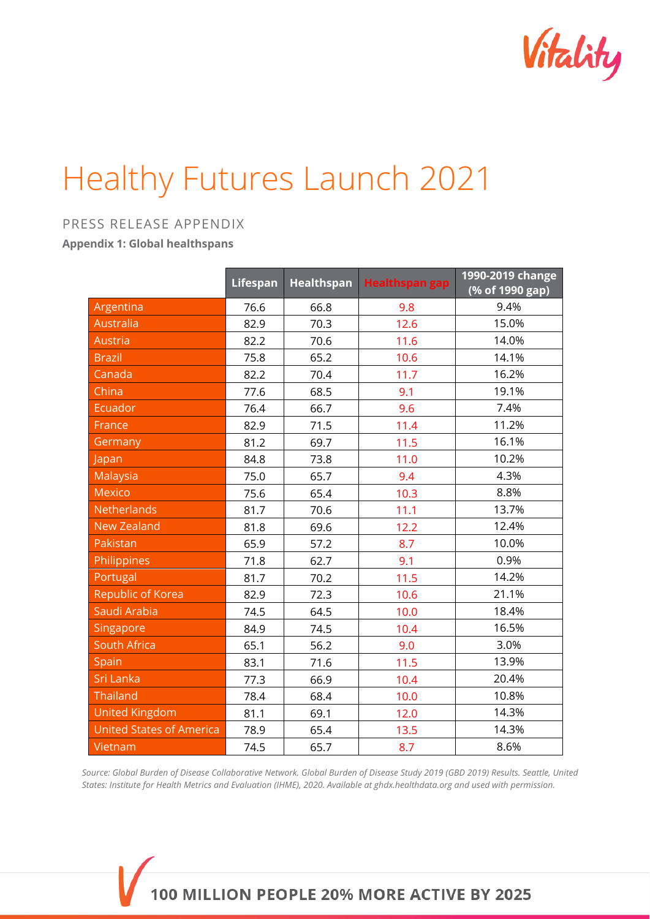

## Healthy Futures Launch 2021

## PRESS RELEASE APPENDIX

**Appendix 1: Global healthspans**

|                                 | <b>Lifespan</b> | Healthspan | <b>Healthspan gap</b> | 1990-2019 change |
|---------------------------------|-----------------|------------|-----------------------|------------------|
|                                 |                 |            |                       | (% of 1990 gap)  |
| Argentina                       | 76.6            | 66.8       | 9.8                   | 9.4%             |
| <b>Australia</b>                | 82.9            | 70.3       | 12.6                  | 15.0%            |
| Austria                         | 82.2            | 70.6       | 11.6                  | 14.0%            |
| <b>Brazil</b>                   | 75.8            | 65.2       | 10.6                  | 14.1%            |
| Canada                          | 82.2            | 70.4       | 11.7                  | 16.2%            |
| China                           | 77.6            | 68.5       | 9.1                   | 19.1%            |
| <b>Ecuador</b>                  | 76.4            | 66.7       | 9.6                   | 7.4%             |
| France                          | 82.9            | 71.5       | 11.4                  | 11.2%            |
| Germany                         | 81.2            | 69.7       | 11.5                  | 16.1%            |
| Japan                           | 84.8            | 73.8       | 11.0                  | 10.2%            |
| Malaysia                        | 75.0            | 65.7       | 9.4                   | 4.3%             |
| <b>Mexico</b>                   | 75.6            | 65.4       | 10.3                  | 8.8%             |
| <b>Netherlands</b>              | 81.7            | 70.6       | 11.1                  | 13.7%            |
| <b>New Zealand</b>              | 81.8            | 69.6       | 12.2                  | 12.4%            |
| Pakistan                        | 65.9            | 57.2       | 8.7                   | 10.0%            |
| Philippines                     | 71.8            | 62.7       | 9.1                   | 0.9%             |
| Portugal                        | 81.7            | 70.2       | 11.5                  | 14.2%            |
| <b>Republic of Korea</b>        | 82.9            | 72.3       | 10.6                  | 21.1%            |
| Saudi Arabia                    | 74.5            | 64.5       | 10.0                  | 18.4%            |
| Singapore                       | 84.9            | 74.5       | 10.4                  | 16.5%            |
| <b>South Africa</b>             | 65.1            | 56.2       | 9.0                   | 3.0%             |
| Spain                           | 83.1            | 71.6       | 11.5                  | 13.9%            |
| Sri Lanka                       | 77.3            | 66.9       | 10.4                  | 20.4%            |
| <b>Thailand</b>                 | 78.4            | 68.4       | 10.0                  | 10.8%            |
| <b>United Kingdom</b>           | 81.1            | 69.1       | 12.0                  | 14.3%            |
| <b>United States of America</b> | 78.9            | 65.4       | 13.5                  | 14.3%            |
| Vietnam                         | 74.5            | 65.7       | 8.7                   | 8.6%             |

*Source: Global Burden of Disease Collaborative Network. Global Burden of Disease Study 2019 (GBD 2019) Results. Seattle, United States: Institute for Health Metrics and Evaluation (IHME), 2020. Available at ghdx.healthdata.org and used with permission.*